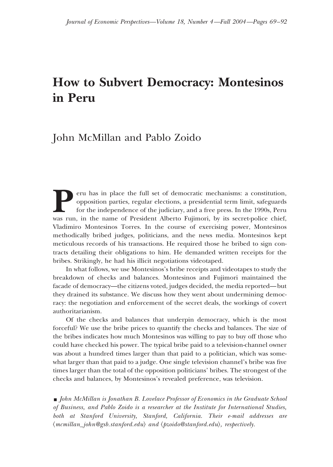# **How to Subvert Democracy: Montesinos** in Peru

## John McMillan and Pablo Zoido

eru has in place the full set of democratic mechanisms: a constitution, opposition parties, regular elections, a presidential term limit, safeguards for the independence of the judiciary, and a free press. In the 1990s, Peru was run, in the name of President Alberto Fujimori, by its secret-police chief, Vladimiro Montesinos Torres. In the course of exercising power, Montesinos methodically bribed judges, politicians, and the news media. Montesinos kept meticulous records of his transactions. He required those he bribed to sign contracts detailing their obligations to him. He demanded written receipts for the bribes. Strikingly, he had his illicit negotiations videotaped.

In what follows, we use Montesinos's bribe receipts and videotapes to study the breakdown of checks and balances. Montesinos and Fujimori maintained the facade of democracy—the citizens voted, judges decided, the media reported—but they drained its substance. We discuss how they went about undermining democracy: the negotiation and enforcement of the secret deals, the workings of covert authoritarianism.

Of the checks and balances that underpin democracy, which is the most forceful? We use the bribe prices to quantify the checks and balances. The size of the bribes indicates how much Montesinos was willing to pay to buy off those who could have checked his power. The typical bribe paid to a television-channel owner was about a hundred times larger than that paid to a politician, which was somewhat larger than that paid to a judge. One single television channel's bribe was five times larger than the total of the opposition politicians' bribes. The strongest of the checks and balances, by Montesinos's revealed preference, was television.

• John McMillan is Jonathan B. Lovelace Professor of Economics in the Graduate School of Business, and Pablo Zoido is a researcher at the Institute for International Studies, both at Stanford University, Stanford, California. Their e-mail addresses are (mcmillan\_john@gsb.stanford.edu) and (pzoido@stanford.edu), respectively.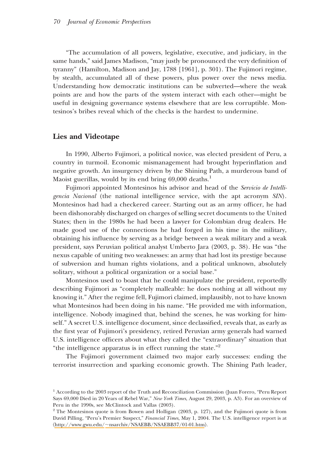"The accumulation of all powers, legislative, executive, and judiciary, in the same hands," said James Madison, "may justly be pronounced the very definition of tyranny" (Hamilton, Madison and Jay, 1788 [1961], p. 301). The Fujimori regime, by stealth, accumulated all of these powers, plus power over the news media. Understanding how democratic institutions can be subverted—where the weak points are and how the parts of the system interact with each other—might be useful in designing governance systems elsewhere that are less corruptible. Montesinos's bribes reveal which of the checks is the hardest to undermine.

### **Lies and Videotape**

In 1990, Alberto Fujimori, a political novice, was elected president of Peru, a country in turmoil. Economic mismanagement had brought hyperinflation and negative growth. An insurgency driven by the Shining Path, a murderous band of Maoist guerillas, would by its end bring 69,000 deaths.<sup>1</sup>

Fujimori appointed Montesinos his advisor and head of the Servicio de Intelligencia Nacional (the national intelligence service, with the apt acronym SIN). Montesinos had had a checkered career. Starting out as an army officer, he had been dishonorably discharged on charges of selling secret documents to the United States; then in the 1980s he had been a lawyer for Colombian drug dealers. He made good use of the connections he had forged in his time in the military, obtaining his influence by serving as a bridge between a weak military and a weak president, says Peruvian political analyst Umberto Jara (2003, p. 38). He was "the nexus capable of uniting two weaknesses: an army that had lost its prestige because of subversion and human rights violations, and a political unknown, absolutely solitary, without a political organization or a social base."

Montesinos used to boast that he could manipulate the president, reportedly describing Fujimori as "completely malleable: he does nothing at all without my knowing it." After the regime fell, Fujimori claimed, implausibly, not to have known what Montesinos had been doing in his name. "He provided me with information, intelligence. Nobody imagined that, behind the scenes, he was working for himself." A secret U.S. intelligence document, since declassified, reveals that, as early as the first year of Fujimori's presidency, retired Peruvian army generals had warned U.S. intelligence officers about what they called the "extraordinary" situation that "the intelligence apparatus is in effect running the state."<sup>2</sup>

The Fujimori government claimed two major early successes: ending the terrorist insurrection and sparking economic growth. The Shining Path leader,

<sup>&</sup>lt;sup>1</sup> According to the 2003 report of the Truth and Reconciliation Commission (Juan Forero, "Peru Report Says 69,000 Died in 20 Years of Rebel War," New York Times, August 29, 2003, p. A3). For an overview of Peru in the 1990s, see McClintock and Vallas (2003).

 $2$  The Montesinos quote is from Bowen and Holligan (2003, p. 127), and the Fujimori quote is from David Pilling, "Peru's Premier Suspect," Financial Times, May 1, 2004. The U.S. intelligence report is at \http://www.gwu.edu/~nsarchiv/NSAEBB/NSAEBB37/01-01.htm).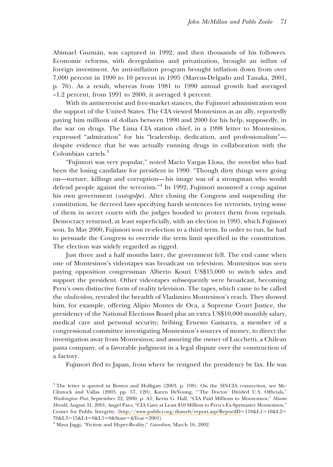Abimael Guzmán, was captured in 1992, and then thousands of his followers. Economic reforms, with deregulation and privatization, brought an influx of foreign investment. An anti-inflation program brought inflation down from over 7,000 percent in 1990 to 10 percent in 1995 (Marcus-Delgado and Tanaka, 2001, p. 76). As a result, whereas from 1981 to 1990 annual growth had averaged  $-1.2$  percent, from 1991 to 2000, it averaged 4 percent.

With its antiterrorist and free-market stances, the Fujimori administration won the support of the United States. The CIA viewed Montesinos as an ally, reportedly paying him millions of dollars between 1990 and 2000 for his help, supposedly, in the war on drugs. The Lima CIA station chief, in a 1998 letter to Montesinos, expressed "admiration" for his "leadership, dedication, and professionalism"despite evidence that he was actually running drugs in collaboration with the Colombian cartels.<sup>3</sup>

"Fujimori was very popular," noted Mario Vargas Llosa, the novelist who had been the losing candidate for president in 1990. "Though dirty things were going on-torture, killings and corruption-his image was of a strongman who would defend people against the terrorists."<sup>4</sup> In 1992, Fujimori mounted a coup against his own government (*autogolpe*). After closing the Congress and suspending the constitution, he decreed laws specifying harsh sentences for terrorists, trying some of them in secret courts with the judges hooded to protect them from reprisals. Democracy returned, at least superficially, with an election in 1995, which Fujimori won. In May 2000, Fujimori won re-election to a third term. In order to run, he had to persuade the Congress to override the term limit specified in the constitution. The election was widely regarded as rigged.

Just three and a half months later, the government fell. The end came when one of Montesinos's videotapes was broadcast on television. Montesinos was seen paying opposition congressman Alberto Kouri US\$15,000 to switch sides and support the president. Other videotapes subsequently were broadcast, becoming Peru's own distinctive form of reality television. The tapes, which came to be called the *vladivideos*, revealed the breadth of Vladimiro Montesinos's reach. They showed him, for example, offering Alipio Montes de Oca, a Supreme Court Justice, the presidency of the National Elections Board plus an extra US\$10,000 monthly salary, medical care and personal security; bribing Ernesto Gamarra, a member of a congressional committee investigating Montesinos's sources of money, to direct the investigation away from Montesinos; and assuring the owner of Lucchetti, a Chilean pasta company, of a favorable judgment in a legal dispute over the construction of a factory.

Fujimori fled to Japan, from where he resigned the presidency by fax. He was

 $3$  The letter is quoted in Bowen and Holligan (2003, p. 198). On the SIN-CIA connection, see Mc-Clintock and Vallas (2003, pp. 57, 120); Karen DeYoung, "The Doctor' Divided U.S. Officials," Washington Post, September 22, 2000, p. A1; Kevin G. Hall, "CIA Paid Millions to Montesinos," Miami Herald, August 31, 2001; Angel Paez, "CIA Gave at Least \$10 Million to Peru's Ex-Spymaster Montesinos," Center for Public Integrity,  $\langle$ http://www.publici.org/dtaweb/report.asp?ReportID=118&L1=10&L2=  $70&L3=15&L4=0&L5=0&State =&Year=2001$ .

<sup>&</sup>lt;sup>4</sup> Maya Jaggi, "Fiction and Hyper-Reality," Guardian, March 16, 2002.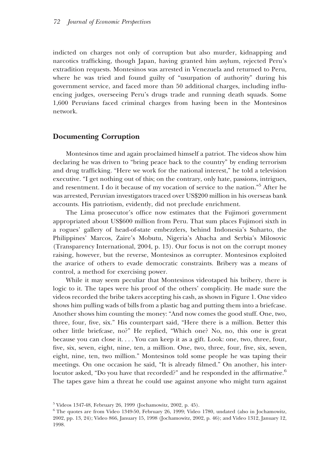indicted on charges not only of corruption but also murder, kidnapping and narcotics trafficking, though Japan, having granted him asylum, rejected Peru's extradition requests. Montesinos was arrested in Venezuela and returned to Peru, where he was tried and found guilty of "usurpation of authority" during his government service, and faced more than 50 additional charges, including influencing judges, overseeing Peru's drugs trade and running death squads. Some 1,600 Peruvians faced criminal charges from having been in the Montesinos network.

### **Documenting Corruption**

Montesinos time and again proclaimed himself a patriot. The videos show him declaring he was driven to "bring peace back to the country" by ending terrorism and drug trafficking. "Here we work for the national interest," he told a television executive. "I get nothing out of this; on the contrary, only hate, passions, intrigues, and resentment. I do it because of my vocation of service to the nation."<sup>5</sup> After he was arrested, Peruvian investigators traced over US\$200 million in his overseas bank accounts. His patriotism, evidently, did not preclude enrichment.

The Lima prosecutor's office now estimates that the Fujimori government appropriated about US\$600 million from Peru. That sum places Fujimori sixth in a rogues' gallery of head-of-state embezzlers, behind Indonesia's Suharto, the Philippines' Marcos, Zaire's Mobutu, Nigeria's Abacha and Serbia's Milosovic (Transparency International, 2004, p. 13). Our focus is not on the corrupt money raising, however, but the reverse, Montesinos as corrupter. Montesinos exploited the avarice of others to evade democratic constraints. Bribery was a means of control, a method for exercising power.

While it may seem peculiar that Montesinos videotaped his bribery, there is logic to it. The tapes were his proof of the others' complicity. He made sure the videos recorded the bribe takers accepting his cash, as shown in Figure 1. One video shows him pulling wads of bills from a plastic bag and putting them into a briefcase. Another shows him counting the money: "And now comes the good stuff. One, two, three, four, five, six." His counterpart said, "Here there is a million. Better this other little briefcase, no?" He replied, "Which one? No, no, this one is great because you can close it.... You can keep it as a gift. Look: one, two, three, four, five, six, seven, eight, nine, ten, a million. One, two, three, four, five, six, seven, eight, nine, ten, two million." Montesinos told some people he was taping their meetings. On one occasion he said, "It is already filmed." On another, his interlocutor asked, "Do you have that recorded?" and he responded in the affirmative.<sup>6</sup> The tapes gave him a threat he could use against anyone who might turn against

 $5$  Videos 1347-48, February 26, 1999 (Jochamowitz, 2002, p. 45).

 $6$  The quotes are from Video 1349-50, February 26, 1999; Video 1780, undated (also in Jochamowitz, 2002, pp. 13, 24); Video 866, January 15, 1998 (Jochamowitz, 2002, p. 46); and Video 1312, January 12, 1998.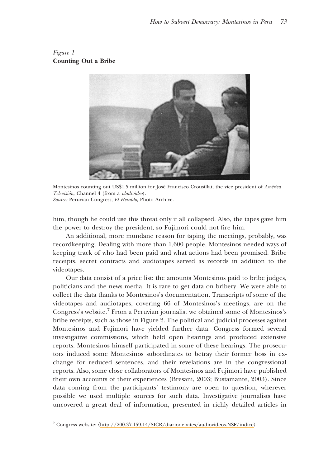### Figure 1 **Counting Out a Bribe**



Montesinos counting out US\$1.5 million for José Francisco Crousillat, the vice president of América Televisión, Channel 4 (from a vladivideo). Source: Peruvian Congress, El Heraldo, Photo Archive.

him, though he could use this threat only if all collapsed. Also, the tapes gave him the power to destroy the president, so Fujimori could not fire him.

An additional, more mundane reason for taping the meetings, probably, was recordkeeping. Dealing with more than 1,600 people, Montesinos needed ways of keeping track of who had been paid and what actions had been promised. Bribe receipts, secret contracts and audiotapes served as records in addition to the videotapes.

Our data consist of a price list: the amounts Montesinos paid to bribe judges, politicians and the news media. It is rare to get data on bribery. We were able to collect the data thanks to Montesinos's documentation. Transcripts of some of the videotapes and audiotapes, covering 66 of Montesinos's meetings, are on the Congress's website.<sup>7</sup> From a Peruvian journalist we obtained some of Montesinos's bribe receipts, such as those in Figure 2. The political and judicial processes against Montesinos and Fujimori have yielded further data. Congress formed several investigative commissions, which held open hearings and produced extensive reports. Montesinos himself participated in some of these hearings. The prosecutors induced some Montesinos subordinates to betray their former boss in exchange for reduced sentences, and their revelations are in the congressional reports. Also, some close collaborators of Montesinos and Fujimori have published their own accounts of their experiences (Bresani, 2003; Bustamante, 2003). Since data coming from the participants' testimony are open to question, wherever possible we used multiple sources for such data. Investigative journalists have uncovered a great deal of information, presented in richly detailed articles in

<sup>&</sup>lt;sup>7</sup> Congress website: (http://200.37.159.14/SICR/diariodebates/audiovideos.NSF/indice).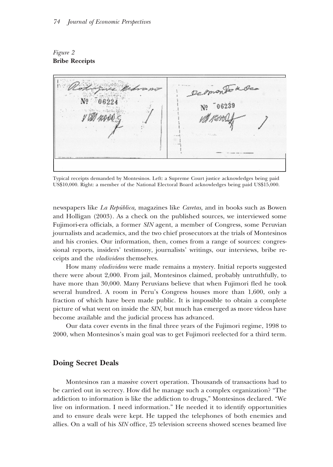



Typical receipts demanded by Montesinos. Left: a Supreme Court justice acknowledges being paid US\$10,000. Right: a member of the National Electoral Board acknowledges being paid US\$15,000.

newspapers like La República, magazines like Caretas, and in books such as Bowen and Holligan (2003). As a check on the published sources, we interviewed some Fujimori-era officials, a former SIN agent, a member of Congress, some Peruvian journalists and academics, and the two chief prosecutors at the trials of Montesinos and his cronies. Our information, then, comes from a range of sources: congressional reports, insiders' testimony, journalists' writings, our interviews, bribe receipts and the *vladivideos* themselves.

How many *vladivideos* were made remains a mystery. Initial reports suggested there were about 2,000. From jail, Montesinos claimed, probably untruthfully, to have more than 30,000. Many Peruvians believe that when Fujimori fled he took several hundred. A room in Peru's Congress houses more than 1,600, only a fraction of which have been made public. It is impossible to obtain a complete picture of what went on inside the SIN, but much has emerged as more videos have become available and the judicial process has advanced.

Our data cover events in the final three years of the Fujimori regime, 1998 to 2000, when Montesinos's main goal was to get Fujimori reelected for a third term.

### **Doing Secret Deals**

Montesinos ran a massive covert operation. Thousands of transactions had to be carried out in secrecy. How did he manage such a complex organization? "The addiction to information is like the addiction to drugs," Montesinos declared. "We live on information. I need information." He needed it to identify opportunities and to ensure deals were kept. He tapped the telephones of both enemies and allies. On a wall of his SIN office, 25 television screens showed scenes beamed live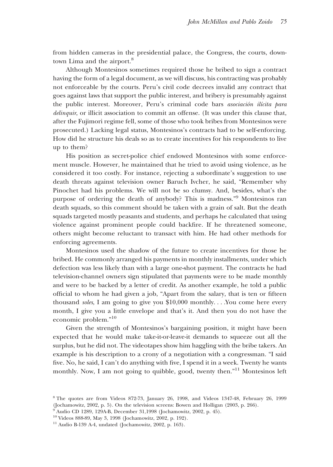from hidden cameras in the presidential palace, the Congress, the courts, downtown Lima and the airport.<sup>8</sup>

Although Montesinos sometimes required those he bribed to sign a contract having the form of a legal document, as we will discuss, his contracting was probably not enforceable by the courts. Peru's civil code decrees invalid any contract that goes against laws that support the public interest, and bribery is presumably against the public interest. Moreover, Peru's criminal code bars asociación ilícita para delinquir, or illicit association to commit an offense. (It was under this clause that, after the Fujimori regime fell, some of those who took bribes from Montesinos were prosecuted.) Lacking legal status, Montesinos's contracts had to be self-enforcing. How did he structure his deals so as to create incentives for his respondents to live up to them?

His position as secret-police chief endowed Montesinos with some enforcement muscle. However, he maintained that he tried to avoid using violence, as he considered it too costly. For instance, rejecting a subordinate's suggestion to use death threats against television owner Baruch Ivcher, he said, "Remember why Pinochet had his problems. We will not be so clumsy. And, besides, what's the purpose of ordering the death of anybody? This is madness."<sup>9</sup> Montesinos ran death squads, so this comment should be taken with a grain of salt. But the death squads targeted mostly peasants and students, and perhaps he calculated that using violence against prominent people could backfire. If he threatened someone, others might become reluctant to transact with him. He had other methods for enforcing agreements.

Montesinos used the shadow of the future to create incentives for those he bribed. He commonly arranged his payments in monthly installments, under which defection was less likely than with a large one-shot payment. The contracts he had television-channel owners sign stipulated that payments were to be made monthly and were to be backed by a letter of credit. As another example, he told a public official to whom he had given a job, "Apart from the salary, that is ten or fifteen thousand *soles*, I am going to give you \$10,000 monthly... You come here every month, I give you a little envelope and that's it. And then you do not have the economic problem."<sup>10</sup>

Given the strength of Montesinos's bargaining position, it might have been expected that he would make take-it-or-leave-it demands to squeeze out all the surplus, but he did not. The videotapes show him haggling with the bribe takers. An example is his description to a crony of a negotiation with a congressman. "I said five. No, he said, I can't do anything with five, I spend it in a week. Twenty he wants monthly. Now, I am not going to quibble, good, twenty then."<sup>11</sup> Montesinos left

<sup>&</sup>lt;sup>8</sup> The quotes are from Videos 872-73, January 26, 1998, and Videos 1347-48, February 26, 1999 (Jochamowitz, 2002, p. 5). On the television screens: Bowen and Holligan (2003, p. 266).

<sup>&</sup>lt;sup>9</sup> Audio CD 1289, 129A-B, December 31,1998 (Jochamowitz, 2002, p. 45).

<sup>&</sup>lt;sup>10</sup> Videos 888-89, May 3, 1998 (Jochamowitz, 2002, p. 192).

<sup>&</sup>lt;sup>11</sup> Audio B-139 A-4, undated (Jochamowitz, 2002, p. 163).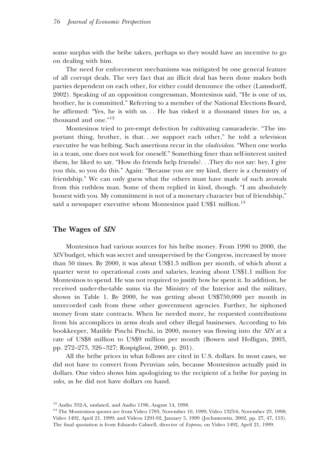some surplus with the bribe takers, perhaps so they would have an incentive to go on dealing with him.

The need for enforcement mechanisms was mitigated by one general feature of all corrupt deals. The very fact that an illicit deal has been done makes both parties dependent on each other, for either could denounce the other (Lamsdorff, 2002). Speaking of an opposition congressman, Montesinos said, "He is one of us, brother, he is committed." Referring to a member of the National Elections Board, he affirmed: "Yes, he is with us... He has risked it a thousand times for us, a thousand and one."<sup>12</sup>

Montesinos tried to pre-empt defection by cultivating camaraderie. "The important thing, brother, is that...we support each other," he told a television executive he was bribing. Such assertions recur in the *vladivideos*. "When one works in a team, one does not work for oneself." Something finer than self-interest united them, he liked to say. "How do friends help friends?...They do not say: hey, I give you this, so you do this." Again: "Because you are my kind, there is a chemistry of friendship." We can only guess what the others must have made of such avowals from this ruthless man. Some of them replied in kind, though. "I am absolutely honest with you. My commitment is not of a monetary character but of friendship," said a newspaper executive whom Montesinos paid US\$1 million.<sup>13</sup>

### The Wages of SIN

Montesinos had various sources for his bribe money. From 1990 to 2000, the SIN budget, which was secret and unsupervised by the Congress, increased by more than 50 times. By 2000, it was about US\$1.5 million per month, of which about a quarter went to operational costs and salaries, leaving about US\$1.1 million for Montesinos to spend. He was not required to justify how he spent it. In addition, he received under-the-table sums via the Ministry of the Interior and the military, shown in Table 1. By 2000, he was getting about US\$750,000 per month in unrecorded cash from these other government agencies. Further, he siphoned money from state contracts. When he needed more, he requested contributions from his accomplices in arms deals and other illegal businesses. According to his bookkeeper, Matilde Pinchi Pinchi, in 2000, money was flowing into the SIN at a rate of US\$8 million to US\$9 million per month (Bowen and Holligan, 2003, pp. 272-273, 326-327; Rospigliosi, 2000, p. 201).

All the bribe prices in what follows are cited in U.S. dollars. In most cases, we did not have to convert from Peruvian soles, because Montesinos actually paid in dollars. One video shows him apologizing to the recipient of a bribe for paying in soles, as he did not have dollars on hand.

 $^{12}$  Audio 352-A, undated, and Audio 1196, August 14, 1998.

 $^{13}$  The Montesinos quotes are from Video 1783, November 10, 1999; Video 1323-6, November 23, 1998; Video 1492, April 21, 1999; and Videos 1291-92, January 5, 1999 (Jochamowitz, 2002, pp. 27, 47, 153). The final quotation is from Eduardo Calmell, director of Expreso, on Video 1492, April 21, 1999.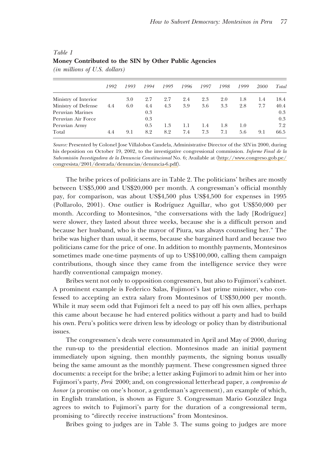### Table 1 Money Contributed to the SIN by Other Public Agencies

(in millions of U.S. dollars)

|                      | 1992 | 1993 | 1994 | 1995 | 1996 | 1997 | 1998 | 1999 | <i>2000</i> | Total |
|----------------------|------|------|------|------|------|------|------|------|-------------|-------|
| Ministry of Interior |      | 3.0  | 2.7  | 2.7  | 2.4  | 2.3  | 2.0  | 1.8  | 1.4         | 18.4  |
| Ministry of Defense  | 4.4  | 6.0  | 4.4  | 4.3  | 3.9  | 3.6  | 3.3  | 2.8  | 7.7         | 40.4  |
| Peruvian Marines     |      |      | 0.3  |      |      |      |      |      |             | 0.3   |
| Peruvian Air Force   |      |      | 0.3  |      |      |      |      |      |             | 0.3   |
| Peruvian Army        |      |      | 0.5  | 1.3  | 1.1  | 1.4  | 1.8  | 1.0  |             | 7.2   |
| Total                | 4.4  | 9.1  | 8.2  | 8.2  | 7.4  | 7.3  | 7.1  | 5.6  | 9.1         | 66.5  |

Source: Presented by Colonel Jose Villalobos Candela, Administrative Director of the SIN in 2000, during his deposition on October 19, 2002, to the investigative congressional commission. Informe Final de la Subcomisión Investigadora de la Denuncia Constitucional No. 6; Available at  $\langle$ http://www.congreso.gob.pe/ congresista/2001/destrada/denuncias/denuncia-6.pdf).

The bribe prices of politicians are in Table 2. The politicians' bribes are mostly between US\$5,000 and US\$20,000 per month. A congressman's official monthly pay, for comparison, was about US\$4,500 plus US\$4,500 for expenses in 1995 (Pollarolo, 2001). One outlier is Rodríguez Aguillar, who got US\$50,000 per month. According to Montesinos, "the conversations with the lady [Rodríguez] were slower, they lasted about three weeks, because she is a difficult person and because her husband, who is the mayor of Piura, was always counseling her." The bribe was higher than usual, it seems, because she bargained hard and because two politicians came for the price of one. In addition to monthly payments, Montesinos sometimes made one-time payments of up to US\$100,000, calling them campaign contributions, though since they came from the intelligence service they were hardly conventional campaign money.

Bribes went not only to opposition congressmen, but also to Fujimori's cabinet. A prominent example is Federico Salas, Fujimori's last prime minister, who confessed to accepting an extra salary from Montesinos of US\$30,000 per month. While it may seem odd that Fujimori felt a need to pay off his own allies, perhaps this came about because he had entered politics without a party and had to build his own. Peru's politics were driven less by ideology or policy than by distributional issues.

The congressmen's deals were consummated in April and May of 2000, during the run-up to the presidential election. Montesinos made an initial payment immediately upon signing, then monthly payments, the signing bonus usually being the same amount as the monthly payment. These congressmen signed three documents: a receipt for the bribe; a letter asking Fujimori to admit him or her into Fujimori's party, Perú 2000; and, on congressional letterhead paper, a compromiso de *honor* (a promise on one's honor, a gentleman's agreement), an example of which, in English translation, is shown as Figure 3. Congressman Mario González Inga agrees to switch to Fujimori's party for the duration of a congressional term, promising to "directly receive instructions" from Montesinos.

Bribes going to judges are in Table 3. The sums going to judges are more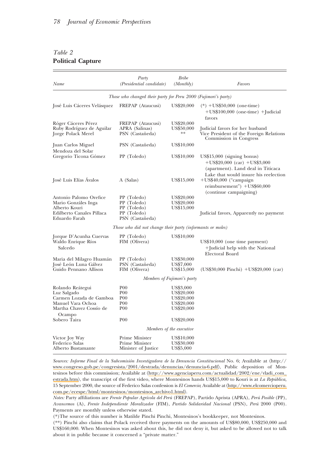### Table 2 **Political Capture**

| Name                                                                                                         | Party<br>(Presidential candidate)                                           | Bribe<br>(Monthly)                                                | Favors                                                                                               |  |  |  |
|--------------------------------------------------------------------------------------------------------------|-----------------------------------------------------------------------------|-------------------------------------------------------------------|------------------------------------------------------------------------------------------------------|--|--|--|
| Those who changed their party for Peru 2000 (Fujimori's party)                                               |                                                                             |                                                                   |                                                                                                      |  |  |  |
| José Luis Cáceres Velásquez                                                                                  | FREPAP (Ataucusi)                                                           | US\$20,000                                                        | $(*) + US$50,000 (one-time)$<br>$+US$100,000$ (one-time) $+$ [udicial]<br>favors                     |  |  |  |
| Róger Cáceres Pérez<br>Ruby Rodríguez de Aguilar<br>Jorge Polack Merel                                       | FREPAP (Ataucusi)<br>APRA (Salinas)<br>PSN (Castañeda)                      | US\$20,000<br>US\$50,000<br>**                                    | Judicial favors for her husband<br>Vice President of the Foreign Relations<br>Commission in Congress |  |  |  |
| Juan Carlos Miguel<br>Mendoza del Solar                                                                      | PSN (Castañeda)                                                             | US\$10,000                                                        |                                                                                                      |  |  |  |
| Gregorio Ticona Gómez                                                                                        | PP (Toledo)                                                                 | US\$10,000                                                        | $US$15,000$ (signing bonus)<br>$+US$20,000 (car) + US$3,000$<br>(apartment). Land deal in Titicaca   |  |  |  |
| José Luis Elías Avalos                                                                                       | A (Salas)                                                                   | US\$15,000                                                        | Lake that would insure his reelection<br>$+US$40,000$ ("campaign<br>reimbursement" $) + US$60,000$   |  |  |  |
| Antonio Palomo Orefice<br>Mario Gonzáles Inga<br>Alberto Kouri<br>Edilberto Canales Pillaca<br>Eduardo Farah | PP (Toledo)<br>PP (Toledo)<br>PP (Toledo)<br>PP (Toledo)<br>PSN (Castañeda) | US\$20,000<br>US\$20,000<br>US\$15,000                            | (continue campaigning)<br>Judicial favors, Apparently no payment                                     |  |  |  |
|                                                                                                              | Those who did not change their party (informants or moles)                  |                                                                   |                                                                                                      |  |  |  |
| Jorque D'Acunha Cuervas<br>Waldo Enrique Ríos<br>Salcedo                                                     | PP (Toledo)<br>FIM (Olivera)                                                | US\$10,000                                                        | $US$10,000$ (one time payment)<br>+ Judicial help with the National<br>Electoral Board               |  |  |  |
| Maria del Milagro Huamán<br>José León Luna Gálvez<br>Guido Pennano Allison                                   | PP (Toledo)<br>PSN (Castañeda)<br>FIM (Olivera)                             | US\$30,000<br>US\$7,000<br>US\$15,000                             | (US\$30,000 Pinchi) +US\$20,000 (car)                                                                |  |  |  |
| Members of Fujimori's party                                                                                  |                                                                             |                                                                   |                                                                                                      |  |  |  |
| Rolando Reátegui<br>Luz Salgado<br>Carmen Lozada de Gamboa<br>Manuel Vara Ochoa<br>Martha Chavez Cossío de   | P <sub>00</sub><br>P00<br><b>P00</b><br>P00<br><b>P00</b>                   | US\$3,000<br>US\$20,000<br>US\$20,000<br>US\$20,000<br>US\$20,000 |                                                                                                      |  |  |  |
| Ocampo<br>Sobero Taira                                                                                       | P <sub>00</sub>                                                             | US\$20,000                                                        |                                                                                                      |  |  |  |
| Members of the executive                                                                                     |                                                                             |                                                                   |                                                                                                      |  |  |  |
| Victor Joy Way<br>Federico Salas<br>Alberto Bustamante                                                       | Prime Minister<br>Prime Minister<br>Minister of Justice                     | US\$10,000<br>US\$30,000<br>US\$5,000                             |                                                                                                      |  |  |  |

Sources: Informe Final de la Subcomisión Investigadora de la Denuncia Constitucional No. 6; Available at  $\langle http: / / \rangle$ www.congreso.gob.pe/congresista/2001/destrada/denuncias/denuncia-6.pdf), Public deposition of Montesinos before this commission; Available at  $\langle$ http://www.agenciaperu.com/actualidad/2002/ene/vladi\_com\_ estrada.htm), the transcript of the first video, where Montesinos hands US\$15,000 to Kouri is at La República, 15 September 2000, the source of Federico Salas confession is El Comercio, Available at (http://www.elcomercioperu. com.pe/ecespe/html/montesinos/montesinos\_archivo1.html).

Notes: Party affiliations are Frente Popular Agrícola del Perú (FREPAP), Partido Aprista (APRA), Perú Posible (PP), Avancemos (A), Frente Independiente Moralizador (FIM), Partido Solidaridad Nacional (PSN), Perú 2000 (P00). Payments are monthly unless otherwise stated.

(\*) The source of this number is Matilde Pinchi Pinchi, Montesinos's bookkeeper, not Montesinos.

(\*\*) Pinchi also claims that Polack received three payments on the amounts of US\$80,000, US\$250,000 and US\$160,000. When Montesinos was asked about this, he did not deny it, but asked to be allowed not to talk about it in public because it concerned a "private matter."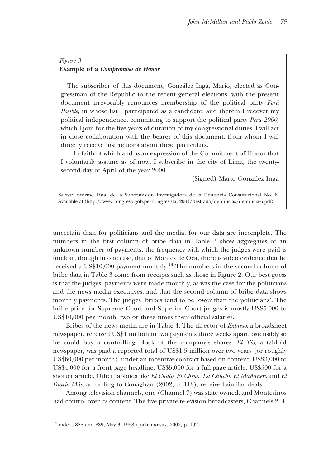### Figure 3

### **Example of a Compromiso de Honor**

The subscriber of this document, González Inga, Mario, elected as Congressman of the Republic in the recent general elections, with the present document irrevocably renounces membership of the political party Perú Posible, in whose list I participated as a candidate; and therein I recover my political independence, committing to support the political party Perú 2000, which I join for the five years of duration of my congressional duties. I will act in close collaboration with the bearer of this document, from whom I will directly receive instructions about these particulars.

In faith of which and as an expression of the Commitment of Honor that I voluntarily assume as of now, I subscribe in the city of Lima, the twentysecond day of April of the year 2000.

(Signed) Mario González Inga

Source: Informe Final de la Subcomision Investigadora de la Denuncia Constitucional No. 6; Available at  $\langle$ http://www.congreso.gob.pe/congresista/2001/destrada/denuncias/denuncia-6.pdf).

uncertain than for politicians and the media, for our data are incomplete. The numbers in the first column of bribe data in Table 3 show aggregates of an unknown number of payments, the frequency with which the judges were paid is unclear, though in one case, that of Montes de Oca, there is video evidence that he received a US\$10,000 payment monthly.<sup>14</sup> The numbers in the second column of bribe data in Table 3 come from receipts such as those in Figure 2. Our best guess is that the judges' payments were made monthly, as was the case for the politicians and the news media executives, and that the second column of bribe data shows monthly payments. The judges' bribes tend to be lower than the politicians'. The bribe price for Supreme Court and Superior Court judges is mostly US\$5,000 to US\$10,000 per month, two or three times their official salaries.

Bribes of the news media are in Table 4. The director of Expreso, a broadsheet newspaper, received US\$1 million in two payments three weeks apart, ostensibly so he could buy a controlling block of the company's shares. El Tío, a tabloid newspaper, was paid a reported total of US\$1.5 million over two years (or roughly US\$60,000 per month), under an incentive contract based on content: US\$3,000 to US\$4,000 for a front-page headline, US\$5,000 for a full-page article, US\$500 for a shorter article. Other tabloids like El Chato, El Chino, La Chuchi, El Mañanero and El Diario Más, according to Conaghan (2002, p. 118), received similar deals.

Among television channels, one (Channel 7) was state owned, and Montesinos had control over its content. The five private television broadcasters, Channels 2, 4,

<sup>&</sup>lt;sup>14</sup> Videos 888 and 889, May 3, 1998 (Jochamowitz, 2002, p. 192).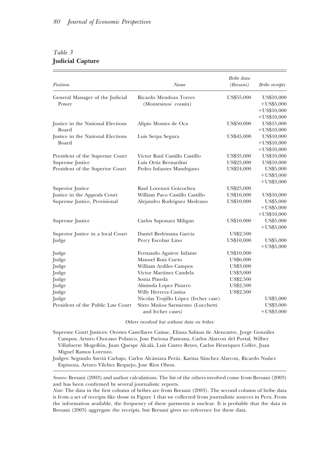### Table 3 **Judicial Capture**

| Position                          | Name                                 | Bribe data<br>(Bresani) | <b>Bribe</b> receipts |
|-----------------------------------|--------------------------------------|-------------------------|-----------------------|
| General Manager of the Judicial   | Ricardo Mendoza Torres               | US\$55,000              | US\$10,000            |
| Power                             | (Montesinos' cousin)                 |                         | $+US$5,000$           |
|                                   |                                      |                         | $+US$10,000$          |
|                                   |                                      |                         | $+US$10,000$          |
| Justice in the National Elections | Alipio Montes de Oca                 | US\$50,000              | US\$15,000            |
| Board                             |                                      |                         | $+US$10,000$          |
| Justice in the National Elections | Luis Serpa Segura                    | US\$45,000              | US\$10,000            |
| Board                             |                                      |                         | $+US$10,000$          |
|                                   |                                      |                         | $+US$10,000$          |
| President of the Supreme Court    | Victor Raul Castillo Castillo        | US\$35,000              | US\$10,000            |
| Supreme Justice                   | Luis Ortiz Bernardini                | US\$25,000              | US\$10,000            |
| President of the Superior Court   | Pedro Infantes Mandujano             | US\$24,000              | US\$5,000             |
|                                   |                                      |                         | $+US$3,000$           |
|                                   |                                      |                         | $+US$3,000$           |
| Superior Justice                  | Raul Lorenzzi Goicochea              | US\$25,000              |                       |
| Justice in the Appeals Court      | William Paco Castillo Castillo       | US\$16,000              | US\$10,000            |
| Supreme Justice, Provisional      | Alejandro Rodríguez Medrano          | US\$10,000              | US\$5,000             |
|                                   |                                      |                         | $+US$5,000$           |
|                                   |                                      |                         | $+US$10,000$          |
| Supreme Justice                   | Carlos Saponara Miligan              | US\$10,000              | US\$5,000             |
|                                   |                                      |                         | $+US$5,000$           |
| Superior Justice in a local Court | Daniel Bedrinana Garcia              | US\$2,500               |                       |
| Judge                             | Percy Escobar Lino                   | US\$10,000              | US\$5,000             |
|                                   |                                      |                         | $+US$5,000$           |
| Judge                             | Fernando Aguirre Infante             | US\$10,000              |                       |
| Judge                             | Manuel Ruiz Cueto                    | US\$6,000               |                       |
| Judge                             | William Ardiles Campos               | US\$3,000               |                       |
| Judge                             | Victor Martínez Candela              | US\$3,000               |                       |
| Judge                             | Sonia Pineda                         | US\$2,500               |                       |
| Judge                             | Alminda Lopez Pizarro                | US\$2,500               |                       |
| Judge                             | Willy Herrera Casina                 | US\$2,500               |                       |
| Judge                             | Nicolas Trujillo López (Ivcher case) |                         | US\$5,000             |
| President of the Public Law Court | Sixto Muñoz Sarmiento (Lucchetti     |                         | US\$3,000             |
|                                   | and Ivcher cases)                    |                         | $+US$3,000$           |

Others involved but without data on bribes:

Supreme Court Justices: Orestes Castellares Camac, Eliana Salinas de Alencastre, Jorge Gonzáles Campos, Arturo Chocano Polanco, Jose Pariona Pastrana, Carlos Alarcon del Portal, Wilber Villafuerte Mogollón, Juan Quespe Alcalá, Luis Castro Reyes, Carlos Henriquez Colfer, Juan Miguel Ramos Lorenzo.

Judges: Segundo Sarriá Carbajo, Carlos Alcántara Peráz, Karina Sánchez Alarcon, Ricardo Nuñez Espinoza, Arturo Vilchez Requejo, Jose Ríos Olson.

Source: Bresani (2003) and author calculations. The list of the others involved come from Bresani (2003) and has been confirmed by several journalistic reports.

Note: The data in the first column of bribes are from Bresani (2003). The second column of bribe data is from a set of receipts like those in Figure 1 that we collected from journalistic sources in Peru. From the information available, the frequency of these payments is unclear. It is probable that the data in Bresani (2003) aggregate the receipts, but Bresani gives no reference for these data.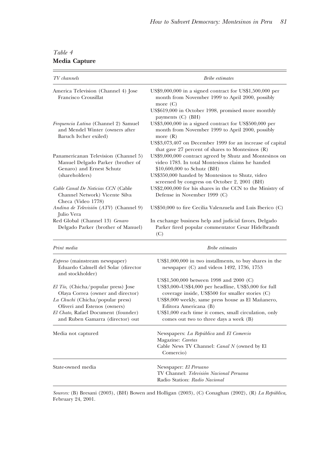| TV channels                                                                                             | <b>Bribe</b> estimates                                                                                                                      |
|---------------------------------------------------------------------------------------------------------|---------------------------------------------------------------------------------------------------------------------------------------------|
| America Television (Channel 4) Jose<br>Francisco Crousillat                                             | US\$9,000,000 in a signed contract for US\$1,500,000 per<br>month from November 1999 to April 2000, possibly<br>more $(C)$                  |
|                                                                                                         | US\$619,000 in October 1998, promised more monthly<br>payments (C) (BH)                                                                     |
| Frequencia Latina (Channel 2) Samuel<br>and Mendel Winter (owners after<br>Baruch Ivcher exiled)        | US\$3,000,000 in a signed contract for US\$500,000 per<br>month from November 1999 to April 2000, possibly<br>more $(R)$                    |
|                                                                                                         | US\$3,073,407 on December 1999 for an increase of capital<br>that gave $27$ percent of shares to Montesinos $(R)$                           |
| Panamericanan Television (Channel 5)<br>Manuel Delgado Parker (brother of<br>Genaro) and Ernest Schutz  | US\$9,000,000 contract agreed by Shutz and Montesinos on<br>video 1783. In total Montesinos claims he handed<br>\$10,600,000 to Schutz (BH) |
| (shareholders)                                                                                          | US\$350,000 handed by Montesinos to Shutz, video<br>screened by congress on October 2, 2001 (BH)                                            |
| Cable Canal De Noticias CCN (Cable<br>Channel Network) Vicente Silva<br>Checa (Video 1778)              | US\$2,000,000 for his shares in the CCN to the Ministry of<br>Defense in November 1999 (C)                                                  |
| Andina de Televisión (ATV) (Channel 9)<br>Julio Vera                                                    | US\$50,000 to fire Cecilia Valenzuela and Luis Iberico (C)                                                                                  |
| Red Global (Channel 13) Genaro<br>Delgado Parker (brother of Manuel)                                    | In exchange business help and judicial favors, Delgado<br>Parker fired popular commentator Cesar Hidelbrandt<br>(C)                         |
| Print media                                                                                             | <b>Bribe</b> estimates                                                                                                                      |
| Expreso (mainstream newspaper)<br>Eduardo Calmell del Solar (director<br>and stockholder)               | $US$1,000,000$ in two installments, to buy shares in the<br>newspaper (C) and videos 1492, 1736, 1753                                       |
|                                                                                                         | US\$1,500,000 between 1998 and 2000 (C)                                                                                                     |
| El Tío, (Chicha/popular press) Jose<br>Olaya Correa (owner and director)                                | US\$3,000-US\$4,000 per headline, US\$5,000 for full<br>coverage inside, US\$500 for smaller stories (C)                                    |
| La Chuchi (Chicha/popular press)                                                                        | US\$8,000 weekly, same press house as El Mañanero,                                                                                          |
| Oliveri and Estenos (owners)<br>El Chato, Rafael Document (founder)<br>and Ruben Gamarra (director) out | Editora Americana (B)<br>US\$1,000 each time it comes, small circulation, only<br>comes out two to three days a week (B)                    |

### Table 4 **Media Capture**

State-owned media

Media not captured

Newspaper: El Peruano TV Channel: Televisión Nacional Peruana Radio Station: Radio Nacional

Magazine: Caretas

Comercio)

Newspapers: La República and El Comercio

Cable News TV Channel: Canal N (owned by El

Sources: (B) Bresani (2003), (BH) Bowen and Holligan (2003), (C) Conaghan (2002), (R) La República, February 24, 2001.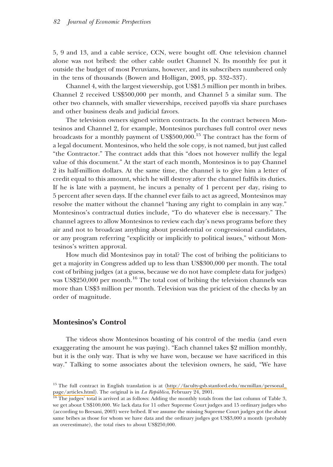5, 9 and 13, and a cable service, CCN, were bought off. One television channel alone was not bribed: the other cable outlet Channel N. Its monthly fee put it outside the budget of most Peruvians, however, and its subscribers numbered only in the tens of thousands (Bowen and Holligan, 2003, pp. 332–337).

Channel 4, with the largest viewership, got US\$1.5 million per month in bribes. Channel 2 received US\$500,000 per month, and Channel 5 a similar sum. The other two channels, with smaller viewerships, received payoffs via share purchases and other business deals and judicial favors.

The television owners signed written contracts. In the contract between Montesinos and Channel 2, for example, Montesinos purchases full control over news broadcasts for a monthly payment of US\$500,000.<sup>15</sup> The contract has the form of a legal document. Montesinos, who held the sole copy, is not named, but just called "the Contractor." The contract adds that this "does not however nullify the legal value of this document." At the start of each month, Montesinos is to pay Channel 2 its half-million dollars. At the same time, the channel is to give him a letter of credit equal to this amount, which he will destroy after the channel fulfils its duties. If he is late with a payment, he incurs a penalty of  $1$  percent per day, rising to 5 percent after seven days. If the channel ever fails to act as agreed, Montesinos may resolve the matter without the channel "having any right to complain in any way." Montesinos's contractual duties include, "To do whatever else is necessary." The channel agrees to allow Montesinos to review each day's news programs before they air and not to broadcast anything about presidential or congressional candidates, or any program referring "explicitly or implicitly to political issues," without Montesinos's written approval.

How much did Montesinos pay in total? The cost of bribing the politicians to get a majority in Congress added up to less than US\$300,000 per month. The total cost of bribing judges (at a guess, because we do not have complete data for judges) was US\$250,000 per month.<sup>16</sup> The total cost of bribing the television channels was more than US\$3 million per month. Television was the priciest of the checks by an order of magnitude.

### **Montesinos's Control**

The videos show Montesinos boasting of his control of the media (and even exaggerating the amount he was paying). "Each channel takes \$2 million monthly, but it is the only way. That is why we have won, because we have sacrificed in this way." Talking to some associates about the television owners, he said, "We have

<sup>&</sup>lt;sup>15</sup> The full contract in English translation is at  $\langle$ http://faculty-gsb.stanford.edu/mcmillan/personal\_ page/articles.html). The original is in La República, February 24, 2001.

<sup>&</sup>lt;sup>16</sup> The judges' total is arrived at as follows: Adding the monthly totals from the last column of Table 3, we get about US\$100,000. We lack data for 11 other Supreme Court judges and 15 ordinary judges who (according to Bresani, 2003) were bribed. If we assume the missing Supreme Court judges got the about same bribes as those for whom we have data and the ordinary judges got US\$3,000 a month (probably an overestimate), the total rises to about US\$250,000.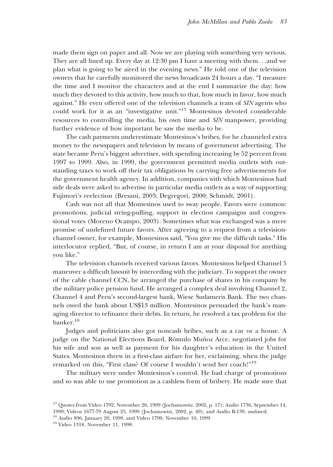made them sign on paper and all. Now we are playing with something very serious. They are all lined up. Every day at 12:30 pm I have a meeting with them...and we plan what is going to be aired in the evening news." He told one of the television owners that he carefully monitored the news broadcasts 24 hours a day. "I measure the time and I monitor the characters and at the end I summarize the day: how much they devoted to this activity, how much to that, how much in favor, how much against." He even offered one of the television channels a team of SIN agents who could work for it as an "investigative unit."<sup>17</sup> Montesinos devoted considerable resources to controlling the media, his own time and SIN manpower, providing further evidence of how important he saw the media to be.

The cash payments underestimate Montesinos's bribes, for he channeled extra money to the newspapers and television by means of government advertising. The state became Peru's biggest advertiser, with spending increasing by 52 percent from 1997 to 1999. Also, in 1999, the government permitted media outlets with outstanding taxes to work off their tax obligations by carrying free advertisements for the government health agency. In addition, companies with which Montesinos had side deals were asked to advertise in particular media outlets as a way of supporting Fujimori's reelection (Bresani, 2003; Degregori, 2000; Schmidt, 2001).

Cash was not all that Montesinos used to sway people. Favors were common: promotions, judicial string-pulling, support in election campaigns and congressional votes (Moreno Ocampo, 2003). Sometimes what was exchanged was a mere promise of undefined future favors. After agreeing to a request from a televisionchannel owner, for example, Montesinos said, "You give me the difficult tasks." His interlocutor replied, "But, of course, in return I am at your disposal for anything you like."

The television channels received various favors. Montesinos helped Channel 5 maneuver a difficult lawsuit by interceding with the judiciary. To support the owner of the cable channel CCN, he arranged the purchase of shares in his company by the military police pension fund. He arranged a complex deal involving Channel 2, Channel 4 and Peru's second-largest bank, Wiese Sudameris Bank. The two channels owed the bank about US\$13 million. Montesinos persuaded the bank's managing director to refinance their debts. In return, he resolved a tax problem for the banker.<sup>18</sup>

Judges and politicians also got noncash bribes, such as a car or a house. A judge on the National Elections Board, Rómulo Muñoz Arce, negotiated jobs for his wife and son as well as payment for his daughter's education in the United States. Montesinos threw in a first-class airfare for her, exclaiming, when the judge remarked on this, "First class? Of course I wouldn't send her coach!"<sup>19</sup>

The military were under Montesinos's control. He had charge of promotions and so was able to use promotion as a cashless form of bribery. He made sure that

<sup>18</sup> Audio 896, January 20, 1998, and Video 1790, November 10, 1999.

<sup>&</sup>lt;sup>17</sup> Quotes from Video 1792, November 26, 1999 (Jochamowitz, 2002, p. 17); Audio 1736, September 14, 1999; Videos 1677-79 August 25, 1999 (Jochamowitz, 2002, p. 49); and Audio B-139, undated.

<sup>&</sup>lt;sup>19</sup> Video 1318, November 11, 1998.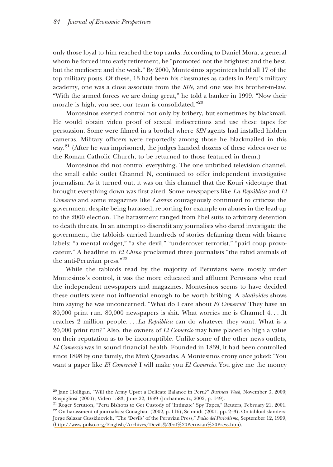only those loyal to him reached the top ranks. According to Daniel Mora, a general whom he forced into early retirement, he "promoted not the brightest and the best, but the mediocre and the weak." By 2000, Montesinos appointees held all 17 of the top military posts. Of these, 13 had been his classmates as cadets in Peru's military academy, one was a close associate from the SIN, and one was his brother-in-law. "With the armed forces we are doing great," he told a banker in 1999. "Now their morale is high, you see, our team is consolidated."20

Montesinos exerted control not only by bribery, but sometimes by blackmail. He would obtain video proof of sexual indiscretions and use these tapes for persuasion. Some were filmed in a brothel where SIN agents had installed hidden cameras. Military officers were reportedly among those he blackmailed in this way.<sup>21</sup> (After he was imprisoned, the judges handed dozens of these videos over to the Roman Catholic Church, to be returned to those featured in them.)

Montesinos did not control everything. The one unbribed television channel, the small cable outlet Channel N, continued to offer independent investigative journalism. As it turned out, it was on this channel that the Kouri videotape that brought everything down was first aired. Some newspapers like La República and El Comercio and some magazines like Caretas courageously continued to criticize the government despite being harassed, reporting for example on abuses in the lead-up to the 2000 election. The harassment ranged from libel suits to arbitrary detention to death threats. In an attempt to discredit any journalists who dared investigate the government, the tabloids carried hundreds of stories defaming them with bizarre labels: "a mental midget," "a she devil," "undercover terrorist," "paid coup provocateur." A headline in El Chino proclaimed three journalists "the rabid animals of the anti-Peruvian press."22

While the tabloids read by the majority of Peruvians were mostly under Montesinos's control, it was the more educated and affluent Peruvians who read the independent newspapers and magazines. Montesinos seems to have decided these outlets were not influential enough to be worth bribing. A *vladivideo* shows him saying he was unconcerned. "What do I care about El Comercio? They have an 80,000 print run. 80,000 newspapers is shit. What worries me is Channel 4. . . . It reaches 2 million people....La República can do whatever they want. What is a 20,000 print run?" Also, the owners of *El Comercio* may have placed so high a value on their reputation as to be incorruptible. Unlike some of the other news outlets, El Comercio was in sound financial health. Founded in 1839, it had been controlled since 1898 by one family, the Miró Quesadas. A Montesinos crony once joked: "You want a paper like El Comercio? I will make you El Comercio. You give me the money

<sup>&</sup>lt;sup>20</sup> Jane Holligan, "Will the Army Upset a Delicate Balance in Peru?" Business Week, November 3, 2000; Rospigliosi (2000); Video 1583, June 22, 1999 (Jochamowitz, 2002, p. 149).

<sup>&</sup>lt;sup>21</sup> Roger Scrutton, "Peru Bishops to Get Custody of 'Intimate' Spy Tapes," Reuters, February 21, 2001. <sup>22</sup> On harassment of journalists: Conaghan (2002, p. 116), Schmidt (2001, pp. 2-3). On tabloid slanders: Jorge Salazar Cussiánovich, "The 'Devils' of the Peruvian Press," Pulso del Periodismo, September 12, 1999, 〈http://www.pulso.org/English/Archives/Devils%20of%20Peruvian%20Press.htm).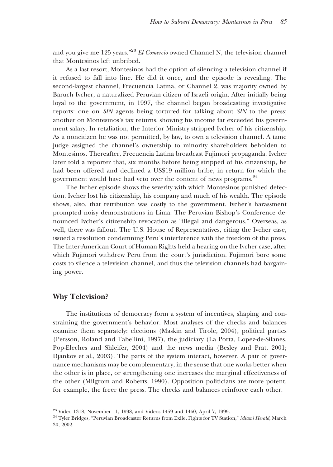and you give me 125 years."<sup>23</sup> El Comercio owned Channel N, the television channel that Montesinos left unbribed.

As a last resort, Montesinos had the option of silencing a television channel if it refused to fall into line. He did it once, and the episode is revealing. The second-largest channel, Frecuencia Latina, or Channel 2, was majority owned by Baruch Ivcher, a naturalized Peruvian citizen of Israeli origin. After initially being loyal to the government, in 1997, the channel began broadcasting investigative reports: one on SIN agents being tortured for talking about SIN to the press; another on Montesinos's tax returns, showing his income far exceeded his government salary. In retaliation, the Interior Ministry stripped Ivcher of his citizenship. As a noncitizen he was not permitted, by law, to own a television channel. A tame judge assigned the channel's ownership to minority shareholders beholden to Montesinos. Thereafter, Frecuencia Latina broadcast Fujimori propaganda. Ivcher later told a reporter that, six months before being stripped of his citizenship, he had been offered and declined a US\$19 million bribe, in return for which the government would have had veto over the content of news programs.<sup>24</sup>

The Ivcher episode shows the severity with which Montesinos punished defection. Ivcher lost his citizenship, his company and much of his wealth. The episode shows, also, that retribution was costly to the government. Ivcher's harassment prompted noisy demonstrations in Lima. The Peruvian Bishop's Conference denounced Ivcher's citizenship revocation as "illegal and dangerous." Overseas, as well, there was fallout. The U.S. House of Representatives, citing the Ivcher case, issued a resolution condemning Peru's interference with the freedom of the press. The Inter-American Court of Human Rights held a hearing on the Ivcher case, after which Fujimori withdrew Peru from the court's jurisdiction. Fujimori bore some costs to silence a television channel, and thus the television channels had bargaining power.

### **Why Television?**

The institutions of democracy form a system of incentives, shaping and constraining the government's behavior. Most analyses of the checks and balances examine them separately: elections (Maskin and Tirole, 2004), political parties (Persson, Roland and Tabellini, 1997), the judiciary (La Porta, Lopez-de-Silanes, Pop-Eleches and Shleifer, 2004) and the news media (Besley and Prat, 2001; Djankov et al., 2003). The parts of the system interact, however. A pair of governance mechanisms may be complementary, in the sense that one works better when the other is in place, or strengthening one increases the marginal effectiveness of the other (Milgrom and Roberts, 1990). Opposition politicians are more potent, for example, the freer the press. The checks and balances reinforce each other.

 $23$  Video 1318, November 11, 1998, and Videos 1459 and 1460, April 7, 1999.

<sup>&</sup>lt;sup>24</sup> Tyler Bridges, "Peruvian Broadcaster Returns from Exile, Fights for TV Station," Miami Herald, March 30, 2002.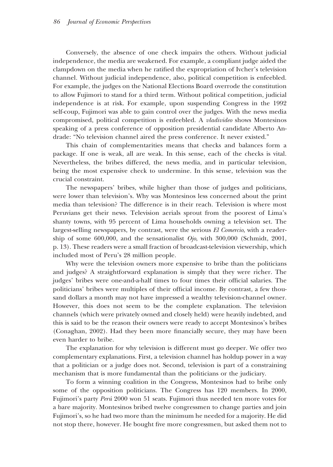Conversely, the absence of one check impairs the others. Without judicial independence, the media are weakened. For example, a compliant judge aided the clampdown on the media when he ratified the expropriation of Ivcher's television channel. Without judicial independence, also, political competition is enfeebled. For example, the judges on the National Elections Board overrode the constitution to allow Fujimori to stand for a third term. Without political competition, judicial independence is at risk. For example, upon suspending Congress in the 1992 self-coup, Fujimori was able to gain control over the judges. With the news media compromised, political competition is enfeebled. A vladivideo shows Montesinos speaking of a press conference of opposition presidential candidate Alberto Andrade: "No television channel aired the press conference. It never existed."

This chain of complementarities means that checks and balances form a package. If one is weak, all are weak. In this sense, each of the checks is vital. Nevertheless, the bribes differed, the news media, and in particular television, being the most expensive check to undermine. In this sense, television was the crucial constraint.

The newspapers' bribes, while higher than those of judges and politicians, were lower than television's. Why was Montesinos less concerned about the print media than television? The difference is in their reach. Television is where most Peruvians get their news. Television aerials sprout from the poorest of Lima's shanty towns, with 95 percent of Lima households owning a television set. The largest-selling newspapers, by contrast, were the serious El Comercio, with a readership of some 600,000, and the sensationalist  $Oj\sigma$ , with 300,000 (Schmidt, 2001, p. 13). These readers were a small fraction of broadcast-television viewership, which included most of Peru's 28 million people.

Why were the television owners more expensive to bribe than the politicians and judges? A straightforward explanation is simply that they were richer. The judges' bribes were one-and-a-half times to four times their official salaries. The politicians' bribes were multiples of their official income. By contrast, a few thousand dollars a month may not have impressed a wealthy television-channel owner. However, this does not seem to be the complete explanation. The television channels (which were privately owned and closely held) were heavily indebted, and this is said to be the reason their owners were ready to accept Montesinos's bribes (Conaghan, 2002). Had they been more financially secure, they may have been even harder to bribe.

The explanation for why television is different must go deeper. We offer two complementary explanations. First, a television channel has holdup power in a way that a politician or a judge does not. Second, television is part of a constraining mechanism that is more fundamental than the politicians or the judiciary.

To form a winning coalition in the Congress, Montesinos had to bribe only some of the opposition politicians. The Congress has 120 members. In 2000, Fujimori's party Perú 2000 won 51 seats. Fujimori thus needed ten more votes for a bare majority. Montesinos bribed twelve congressmen to change parties and join Fujimori's, so he had two more than the minimum he needed for a majority. He did not stop there, however. He bought five more congressmen, but asked them not to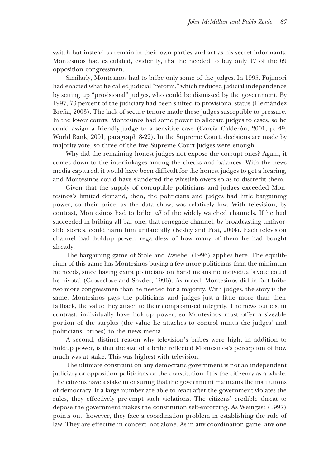switch but instead to remain in their own parties and act as his secret informants. Montesinos had calculated, evidently, that he needed to buy only 17 of the 69 opposition congressmen.

Similarly, Montesinos had to bribe only some of the judges. In 1995, Fujimori had enacted what he called judicial "reform," which reduced judicial independence by setting up "provisional" judges, who could be dismissed by the government. By 1997, 73 percent of the judiciary had been shifted to provisional status (Hernández Breña, 2003). The lack of secure tenure made these judges susceptible to pressure. In the lower courts, Montesinos had some power to allocate judges to cases, so he could assign a friendly judge to a sensitive case (García Calderón, 2001, p. 49; World Bank, 2001, paragraph 8-22). In the Supreme Court, decisions are made by majority vote, so three of the five Supreme Court judges were enough.

Why did the remaining honest judges not expose the corrupt ones? Again, it comes down to the interlinkages among the checks and balances. With the news media captured, it would have been difficult for the honest judges to get a hearing, and Montesinos could have slandered the whistleblowers so as to discredit them.

Given that the supply of corruptible politicians and judges exceeded Montesinos's limited demand, then, the politicians and judges had little bargaining power, so their price, as the data show, was relatively low. With television, by contrast, Montesinos had to bribe all of the widely watched channels. If he had succeeded in bribing all bar one, that renegade channel, by broadcasting unfavorable stories, could harm him unilaterally (Besley and Prat, 2004). Each television channel had holdup power, regardless of how many of them he had bought already.

The bargaining game of Stole and Zwiebel (1996) applies here. The equilibrium of this game has Montesinos buying a few more politicians than the minimum he needs, since having extra politicians on hand means no individual's vote could be pivotal (Groseclose and Snyder, 1996). As noted, Montesinos did in fact bribe two more congressmen than he needed for a majority. With judges, the story is the same. Montesinos pays the politicians and judges just a little more than their fallback, the value they attach to their compromised integrity. The news outlets, in contrast, individually have holdup power, so Montesinos must offer a sizeable portion of the surplus (the value he attaches to control minus the judges' and politicians' bribes) to the news media.

A second, distinct reason why television's bribes were high, in addition to holdup power, is that the size of a bribe reflected Montesinos's perception of how much was at stake. This was highest with television.

The ultimate constraint on any democratic government is not an independent judiciary or opposition politicians or the constitution. It is the citizenry as a whole. The citizens have a stake in ensuring that the government maintains the institutions of democracy. If a large number are able to react after the government violates the rules, they effectively pre-empt such violations. The citizens' credible threat to depose the government makes the constitution self-enforcing. As Weingast (1997) points out, however, they face a coordination problem in establishing the rule of law. They are effective in concert, not alone. As in any coordination game, any one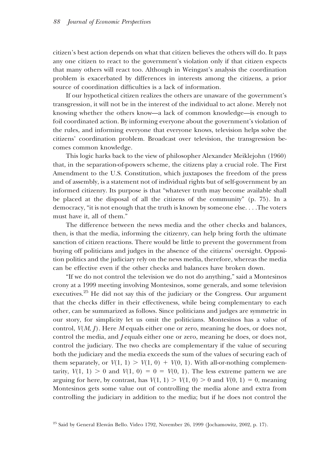citizen's best action depends on what that citizen believes the others will do. It pays any one citizen to react to the government's violation only if that citizen expects that many others will react too. Although in Weingast's analysis the coordination problem is exacerbated by differences in interests among the citizens, a prior source of coordination difficulties is a lack of information.

If our hypothetical citizen realizes the others are unaware of the government's transgression, it will not be in the interest of the individual to act alone. Merely not knowing whether the others know-a lack of common knowledge-is enough to foil coordinated action. By informing everyone about the government's violation of the rules, and informing everyone that everyone knows, television helps solve the citizens' coordination problem. Broadcast over television, the transgression becomes common knowledge.

This logic harks back to the view of philosopher Alexander Meiklejohn (1960) that, in the separation-of-powers scheme, the citizens play a crucial role. The First Amendment to the U.S. Constitution, which juxtaposes the freedom of the press and of assembly, is a statement not of individual rights but of self-government by an informed citizenry. Its purpose is that "whatever truth may become available shall be placed at the disposal of all the citizens of the community" (p. 75). In a democracy, "it is not enough that the truth is known by someone else... .The voters must have it. all of them."

The difference between the news media and the other checks and balances, then, is that the media, informing the citizenry, can help bring forth the ultimate sanction of citizen reactions. There would be little to prevent the government from buying off politicians and judges in the absence of the citizens' oversight. Opposition politics and the judiciary rely on the news media, therefore, whereas the media can be effective even if the other checks and balances have broken down.

"If we do not control the television we do not do anything," said a Montesinos crony at a 1999 meeting involving Montesinos, some generals, and some television executives.<sup>25</sup> He did not say this of the judiciary or the Congress. Our argument that the checks differ in their effectiveness, while being complementary to each other, can be summarized as follows. Since politicians and judges are symmetric in our story, for simplicity let us omit the politicians. Montesinos has a value of control,  $V(M, J)$ . Here M equals either one or zero, meaning he does, or does not, control the media, and *J* equals either one or zero, meaning he does, or does not, control the judiciary. The two checks are complementary if the value of securing both the judiciary and the media exceeds the sum of the values of securing each of them separately, or  $V(1, 1) > V(1, 0) + V(0, 1)$ . With all-or-nothing complementarity,  $V(1, 1) > 0$  and  $V(1, 0) = 0 = V(0, 1)$ . The less extreme pattern we are arguing for here, by contrast, has  $V(1, 1) > V(1, 0) > 0$  and  $V(0, 1) = 0$ , meaning Montesinos gets some value out of controlling the media alone and extra from controlling the judiciary in addition to the media; but if he does not control the

 $^{25}$  Said by General Elesván Bello. Video 1792, November 26, 1999 (Jochamowitz, 2002, p. 17).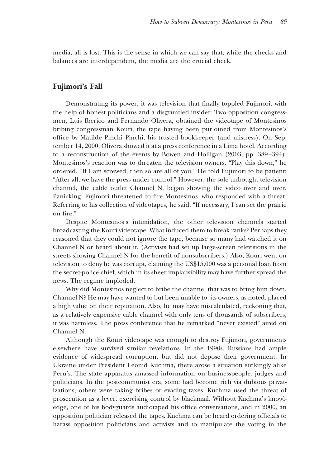media, all is lost. This is the sense in which we can say that, while the checks and balances are interdependent, the media are the crucial check.

### **Fujimori's Fall**

Demonstrating its power, it was television that finally toppled Fujimori, with the help of honest politicians and a disgruntled insider. Two opposition congressmen, Luis Iberico and Fernando Olivera, obtained the videotape of Montesinos bribing congressman Kouri, the tape having been purloined from Montesinos's office by Matilde Pinchi Pinchi, his trusted bookkeeper (and mistress). On September 14, 2000, Olivera showed it at a press conference in a Lima hotel. According to a reconstruction of the events by Bowen and Holligan (2003, pp. 389–394), Montesinos's reaction was to threaten the television owners. "Play this down," he ordered. "If I am screwed, then so are all of you." He told Fujimori to be patient: "After all, we have the press under control." However, the sole unbought television channel, the cable outlet Channel N, began showing the video over and over. Panicking, Fujimori threatened to fire Montesinos, who responded with a threat. Referring to his collection of videotapes, he said, "If necessary, I can set the prairie on fire."

Despite Montesinos's intimidation, the other television channels started broadcasting the Kouri videotape. What induced them to break ranks? Perhaps they reasoned that they could not ignore the tape, because so many had watched it on Channel N or heard about it. (Activists had set up large-screen televisions in the streets showing Channel N for the benefit of nonsubscribers.) Also, Kouri went on television to deny he was corrupt, claiming the US\$15,000 was a personal loan from the secret-police chief, which in its sheer implausibility may have further spread the news. The regime imploded.

Why did Montesinos neglect to bribe the channel that was to bring him down, Channel N? He may have wanted to but been unable to: its owners, as noted, placed a high value on their reputation. Also, he may have miscalculated, reckoning that, as a relatively expensive cable channel with only tens of thousands of subscribers, it was harmless. The press conference that he remarked "never existed" aired on Channel N.

Although the Kouri videotape was enough to destroy Fujimori, governments elsewhere have survived similar revelations. In the 1990s, Russians had ample evidence of widespread corruption, but did not depose their government. In Ukraine under President Leonid Kuchma, there arose a situation strikingly alike Peru's. The state apparatus amassed information on businesspeople, judges and politicians. In the postcommunist era, some had become rich via dubious privatizations, others were taking bribes or evading taxes. Kuchma used the threat of prosecution as a lever, exercising control by blackmail. Without Kuchma's knowledge, one of his bodyguards audiotaped his office conversations, and in 2000, an opposition politician released the tapes. Kuchma can be heard ordering officials to harass opposition politicians and activists and to manipulate the voting in the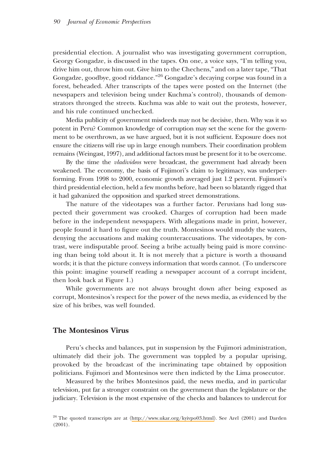presidential election. A journalist who was investigating government corruption, Georgy Gongadze, is discussed in the tapes. On one, a voice says, "I'm telling you, drive him out, throw him out. Give him to the Chechens," and on a later tape, "That Gongadze, goodbye, good riddance."<sup>26</sup> Gongadze's decaying corpse was found in a forest, beheaded. After transcripts of the tapes were posted on the Internet (the newspapers and television being under Kuchma's control), thousands of demonstrators thronged the streets. Kuchma was able to wait out the protests, however, and his rule continued unchecked.

Media publicity of government misdeeds may not be decisive, then. Why was it so potent in Peru? Common knowledge of corruption may set the scene for the government to be overthrown, as we have argued, but it is not sufficient. Exposure does not ensure the citizens will rise up in large enough numbers. Their coordination problem remains (Weingast, 1997), and additional factors must be present for it to be overcome.

By the time the *vladivideos* were broadcast, the government had already been weakened. The economy, the basis of Fujimori's claim to legitimacy, was underperforming. From 1998 to 2000, economic growth averaged just 1.2 percent. Fujimori's third presidential election, held a few months before, had been so blatantly rigged that it had galvanized the opposition and sparked street demonstrations.

The nature of the videotapes was a further factor. Peruvians had long suspected their government was crooked. Charges of corruption had been made before in the independent newspapers. With allegations made in print, however, people found it hard to figure out the truth. Montesinos would muddy the waters, denying the accusations and making counteraccusations. The videotapes, by contrast, were indisputable proof. Seeing a bribe actually being paid is more convincing than being told about it. It is not merely that a picture is worth a thousand words; it is that the picture conveys information that words cannot. (To underscore this point: imagine yourself reading a newspaper account of a corrupt incident, then look back at Figure 1.)

While governments are not always brought down after being exposed as corrupt, Montesinos's respect for the power of the news media, as evidenced by the size of his bribes, was well founded.

### **The Montesinos Virus**

Peru's checks and balances, put in suspension by the Fujimori administration, ultimately did their job. The government was toppled by a popular uprising, provoked by the broadcast of the incriminating tape obtained by opposition politicians. Fujimori and Montesinos were then indicted by the Lima prosecutor.

Measured by the bribes Montesinos paid, the news media, and in particular television, put far a stronger constraint on the government than the legislature or the judiciary. Television is the most expensive of the checks and balances to undercut for

<sup>&</sup>lt;sup>26</sup> The quoted transcripts are at  $\langle \text{http://www.ukar.org/kyivpo03.html}\rangle$ . See Arel (2001) and Darden  $(2001).$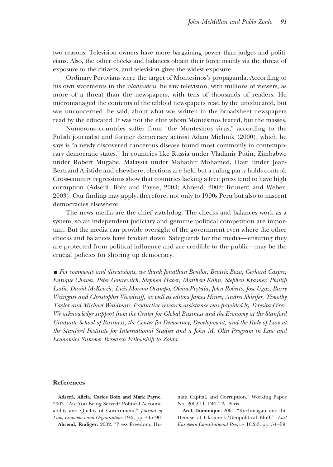two reasons. Television owners have more bargaining power than judges and politicians. Also, the other checks and balances obtain their force mainly via the threat of exposure to the citizens, and television gives the widest exposure.

Ordinary Peruvians were the target of Montesinos's propaganda. According to his own statements in the *vladivideos*, he saw television, with millions of viewers, as more of a threat than the newspapers, with tens of thousands of readers. He micromanaged the contents of the tabloid newspapers read by the uneducated, but was unconcerned, he said, about what was written in the broadsheet newspapers read by the educated. It was not the elite whom Montesinos feared, but the masses.

Numerous countries suffer from "the Montesinos virus," according to the Polish journalist and former democracy activist Adam Michnik (2000), which he says is "a newly discovered cancerous disease found most commonly in contemporary democratic states." In countries like Russia under Vladimir Putin, Zimbabwe under Robert Mugabe, Malaysia under Mahathir Mohamed, Haiti under Jean-Bertrand Aristide and elsewhere, elections are held but a ruling party holds control. Cross-country regressions show that countries lacking a free press tend to have high corruption (Adserà, Boix and Payne, 2003; Ahrend, 2002; Brunetti and Weber, 2003). Our finding may apply, therefore, not only to 1990s Peru but also to nascent democracies elsewhere.

The news media are the chief watchdog. The checks and balances work as a system, so an independent judiciary and genuine political competition are important. But the media can provide oversight of the government even where the other checks and balances have broken down. Safeguards for the media—ensuring they are protected from political influence and are credible to the public-may be the crucial policies for shoring up democracy.

 $\blacksquare$  For comments and discussions, we thank Jonathan Bendor, Beatriz Boza, Gerhard Casper, Enrique Chavez, Peter Gourevitch, Stephen Haber, Matthew Kahn, Stephen Krasner, Phillip Leslie, David McKenzie, Luis Moreno Ocampo, Olena Prytula, John Roberts, Jose Ugaz, Barry Weingast and Christopher Woodruff, as well as editors James Hines, Andrei Shleifer, Timothy Taylor and Michael Waldman. Productive research assistance was provided by Teresita Pérez. We acknowledge support from the Center for Global Business and the Economy at the Stanford Graduate School of Business, the Center for Democracy, Development, and the Rule of Law at the Stanford Institute for International Studies and a John M. Olin Program in Law and Economics Summer Research Fellowship to Zoido.

#### **References**

Adserà, Alicia, Carles Boix and Mark Payne. 2003. "Are You Being Served? Political Accountability and Quality of Government." Journal of Law, Economics and Organization. 19:2, pp. 445-90.

Ahrend, Rudiger. 2002. "Press Freedom, Hu-

man Capital, and Corruption." Working Paper No. 2002-11, DELTA, Paris.

Arel, Dominique. 2001. "Kuchmagate and the Demise of Ukraine's 'Geopolitical Bluff," East European Constitutional Review. 10:2-3, pp. 54-59.